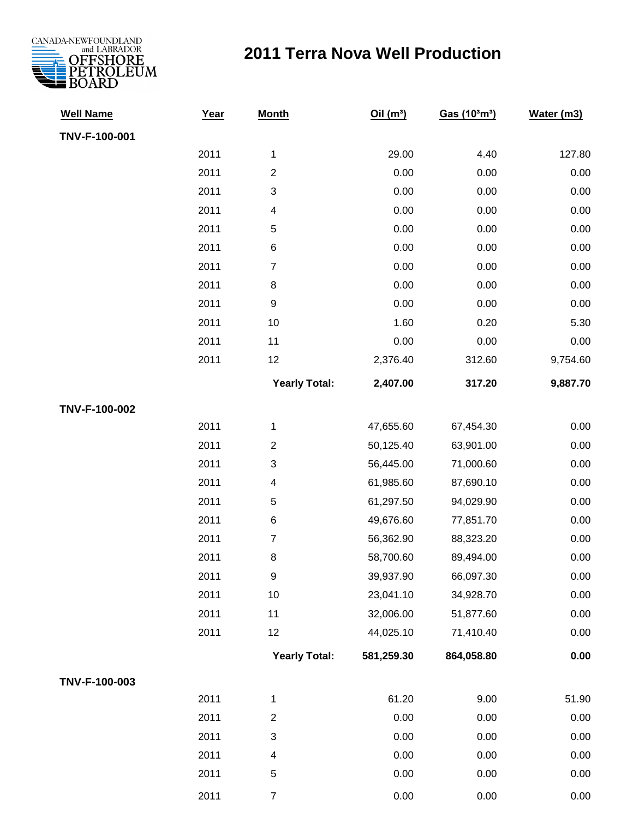

## **2011 Terra Nova Well Production**

| <b>Well Name</b> | Year | <b>Month</b>            | Oil(m <sup>3</sup> ) | Gas (10 <sup>3</sup> m <sup>3</sup> ) | Water (m3) |
|------------------|------|-------------------------|----------------------|---------------------------------------|------------|
| TNV-F-100-001    |      |                         |                      |                                       |            |
|                  | 2011 | $\mathbf{1}$            | 29.00                | 4.40                                  | 127.80     |
|                  | 2011 | $\overline{2}$          | 0.00                 | 0.00                                  | 0.00       |
|                  | 2011 | 3                       | 0.00                 | 0.00                                  | 0.00       |
|                  | 2011 | $\overline{\mathbf{4}}$ | 0.00                 | 0.00                                  | 0.00       |
|                  | 2011 | 5                       | 0.00                 | 0.00                                  | 0.00       |
|                  | 2011 | 6                       | 0.00                 | 0.00                                  | 0.00       |
|                  | 2011 | 7                       | 0.00                 | 0.00                                  | 0.00       |
|                  | 2011 | $\,8\,$                 | 0.00                 | 0.00                                  | 0.00       |
|                  | 2011 | $\boldsymbol{9}$        | 0.00                 | 0.00                                  | 0.00       |
|                  | 2011 | 10                      | 1.60                 | 0.20                                  | 5.30       |
|                  | 2011 | 11                      | 0.00                 | 0.00                                  | 0.00       |
|                  | 2011 | 12                      | 2,376.40             | 312.60                                | 9,754.60   |
|                  |      | <b>Yearly Total:</b>    | 2,407.00             | 317.20                                | 9,887.70   |
| TNV-F-100-002    |      |                         |                      |                                       |            |
|                  | 2011 | 1                       | 47,655.60            | 67,454.30                             | 0.00       |
|                  | 2011 | $\overline{2}$          | 50,125.40            | 63,901.00                             | 0.00       |
|                  | 2011 | 3                       | 56,445.00            | 71,000.60                             | 0.00       |
|                  | 2011 | $\overline{\mathbf{4}}$ | 61,985.60            | 87,690.10                             | 0.00       |
|                  | 2011 | 5                       | 61,297.50            | 94,029.90                             | 0.00       |
|                  | 2011 | 6                       | 49,676.60            | 77,851.70                             | 0.00       |
|                  | 2011 | $\overline{7}$          | 56,362.90            | 88,323.20                             | 0.00       |
|                  | 2011 | 8                       | 58,700.60            | 89,494.00                             | 0.00       |
|                  | 2011 | $\boldsymbol{9}$        | 39,937.90            | 66,097.30                             | 0.00       |
|                  | 2011 | $10$                    | 23,041.10            | 34,928.70                             | 0.00       |
|                  | 2011 | 11                      | 32,006.00            | 51,877.60                             | 0.00       |
|                  | 2011 | 12                      | 44,025.10            | 71,410.40                             | 0.00       |
|                  |      | <b>Yearly Total:</b>    | 581,259.30           | 864,058.80                            | 0.00       |
| TNV-F-100-003    |      |                         |                      |                                       |            |
|                  | 2011 | $\mathbf 1$             | 61.20                | 9.00                                  | 51.90      |
|                  | 2011 | $\overline{c}$          | 0.00                 | 0.00                                  | 0.00       |
|                  | 2011 | 3                       | 0.00                 | 0.00                                  | 0.00       |
|                  | 2011 | $\overline{\mathbf{4}}$ | 0.00                 | 0.00                                  | 0.00       |
|                  | 2011 | 5                       | 0.00                 | 0.00                                  | 0.00       |
|                  | 2011 | $\overline{7}$          | 0.00                 | 0.00                                  | 0.00       |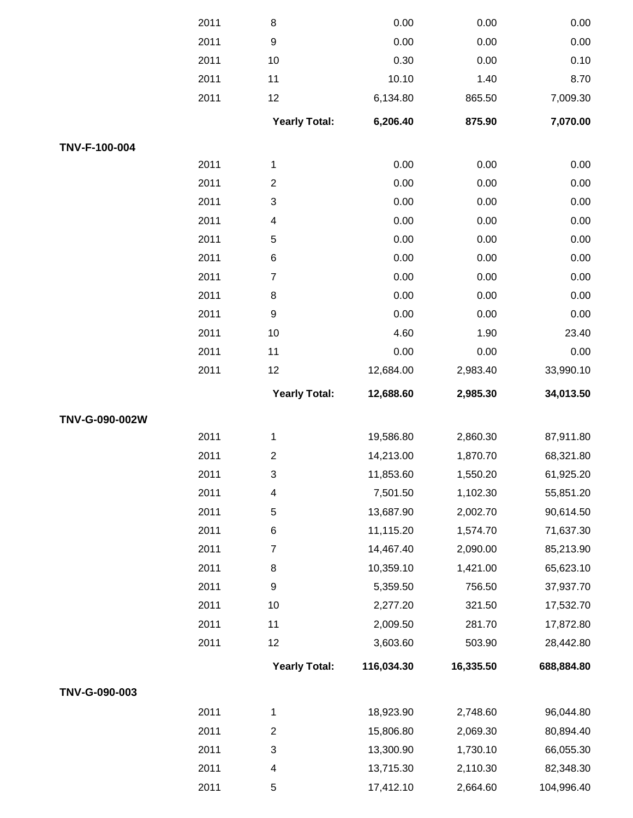|                | 2011 | 8                       | 0.00       | 0.00      | 0.00       |
|----------------|------|-------------------------|------------|-----------|------------|
|                | 2011 | $\boldsymbol{9}$        | 0.00       | 0.00      | 0.00       |
|                | 2011 | 10                      | 0.30       | 0.00      | 0.10       |
|                | 2011 | 11                      | 10.10      | 1.40      | 8.70       |
|                | 2011 | 12                      | 6,134.80   | 865.50    | 7,009.30   |
|                |      | <b>Yearly Total:</b>    | 6,206.40   | 875.90    | 7,070.00   |
| TNV-F-100-004  |      |                         |            |           |            |
|                | 2011 | $\mathbf 1$             | 0.00       | 0.00      | 0.00       |
|                | 2011 | $\overline{c}$          | 0.00       | 0.00      | 0.00       |
|                | 2011 | 3                       | 0.00       | 0.00      | 0.00       |
|                | 2011 | $\overline{\mathbf{4}}$ | 0.00       | 0.00      | 0.00       |
|                | 2011 | 5                       | 0.00       | 0.00      | 0.00       |
|                | 2011 | 6                       | 0.00       | 0.00      | 0.00       |
|                | 2011 | $\overline{7}$          | 0.00       | 0.00      | 0.00       |
|                | 2011 | 8                       | 0.00       | 0.00      | 0.00       |
|                | 2011 | $\boldsymbol{9}$        | 0.00       | 0.00      | 0.00       |
|                | 2011 | 10                      | 4.60       | 1.90      | 23.40      |
|                | 2011 | 11                      | 0.00       | 0.00      | 0.00       |
|                | 2011 | 12                      | 12,684.00  | 2,983.40  | 33,990.10  |
|                |      | <b>Yearly Total:</b>    | 12,688.60  | 2,985.30  | 34,013.50  |
| TNV-G-090-002W |      |                         |            |           |            |
|                | 2011 | 1                       | 19,586.80  | 2,860.30  | 87,911.80  |
|                | 2011 | $\overline{c}$          | 14,213.00  | 1,870.70  | 68,321.80  |
|                | 2011 | 3                       | 11,853.60  | 1,550.20  | 61,925.20  |
|                | 2011 | 4                       | 7,501.50   | 1,102.30  | 55,851.20  |
|                | 2011 | 5                       | 13,687.90  | 2,002.70  | 90,614.50  |
|                | 2011 | 6                       | 11,115.20  | 1,574.70  | 71,637.30  |
|                | 2011 | $\boldsymbol{7}$        | 14,467.40  | 2,090.00  | 85,213.90  |
|                | 2011 | 8                       | 10,359.10  | 1,421.00  | 65,623.10  |
|                | 2011 | $\boldsymbol{9}$        | 5,359.50   | 756.50    | 37,937.70  |
|                | 2011 | 10                      | 2,277.20   | 321.50    | 17,532.70  |
|                | 2011 | 11                      | 2,009.50   | 281.70    | 17,872.80  |
|                | 2011 | 12                      | 3,603.60   | 503.90    | 28,442.80  |
|                |      | <b>Yearly Total:</b>    | 116,034.30 | 16,335.50 | 688,884.80 |
| TNV-G-090-003  |      |                         |            |           |            |
|                | 2011 | 1                       | 18,923.90  | 2,748.60  | 96,044.80  |
|                | 2011 | $\overline{c}$          | 15,806.80  | 2,069.30  | 80,894.40  |
|                | 2011 | 3                       | 13,300.90  | 1,730.10  | 66,055.30  |
|                | 2011 | $\overline{\mathbf{4}}$ | 13,715.30  | 2,110.30  | 82,348.30  |
|                | 2011 | 5                       | 17,412.10  | 2,664.60  | 104,996.40 |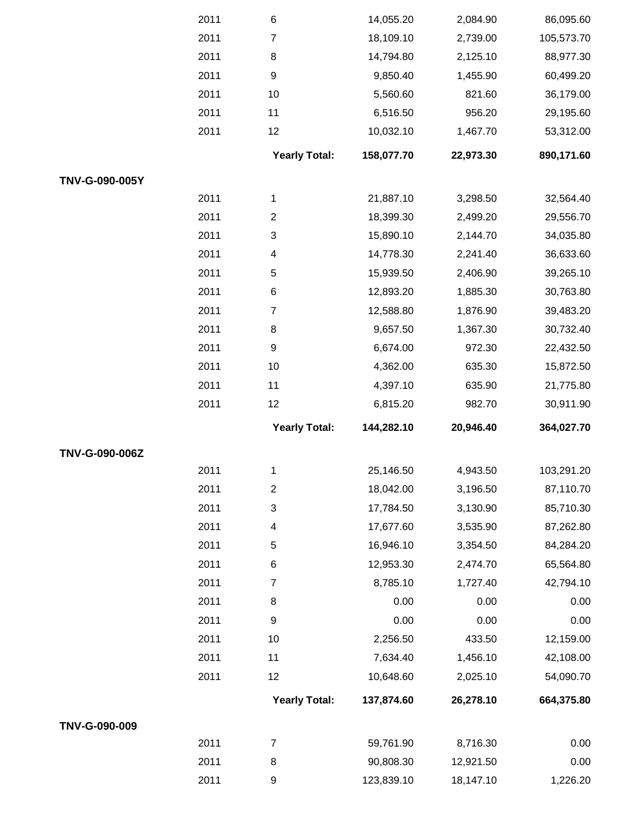|                | 2011 | $\,6$                | 14,055.20  | 2,084.90  | 86,095.60  |
|----------------|------|----------------------|------------|-----------|------------|
|                | 2011 | $\overline{7}$       | 18,109.10  | 2,739.00  | 105,573.70 |
|                | 2011 | $\,8\,$              | 14,794.80  | 2,125.10  | 88,977.30  |
|                | 2011 | $\boldsymbol{9}$     | 9,850.40   | 1,455.90  | 60,499.20  |
|                | 2011 | 10                   | 5,560.60   | 821.60    | 36,179.00  |
|                | 2011 | 11                   | 6,516.50   | 956.20    | 29,195.60  |
|                | 2011 | 12                   | 10,032.10  | 1,467.70  | 53,312.00  |
|                |      | <b>Yearly Total:</b> | 158,077.70 | 22,973.30 | 890,171.60 |
| TNV-G-090-005Y |      |                      |            |           |            |
|                | 2011 | $\mathbf{1}$         | 21,887.10  | 3,298.50  | 32,564.40  |
|                | 2011 | $\overline{2}$       | 18,399.30  | 2,499.20  | 29,556.70  |
|                | 2011 | 3                    | 15,890.10  | 2,144.70  | 34,035.80  |
|                | 2011 | 4                    | 14,778.30  | 2,241.40  | 36,633.60  |
|                | 2011 | 5                    | 15,939.50  | 2,406.90  | 39,265.10  |
|                | 2011 | $\,6$                | 12,893.20  | 1,885.30  | 30,763.80  |
|                | 2011 | $\overline{7}$       | 12,588.80  | 1,876.90  | 39,483.20  |
|                | 2011 | $\bf 8$              | 9,657.50   | 1,367.30  | 30,732.40  |
|                | 2011 | $\boldsymbol{9}$     | 6,674.00   | 972.30    | 22,432.50  |
|                | 2011 | 10                   | 4,362.00   | 635.30    | 15,872.50  |
|                | 2011 | 11                   | 4,397.10   | 635.90    | 21,775.80  |
|                | 2011 | 12                   | 6,815.20   | 982.70    | 30,911.90  |
|                |      | <b>Yearly Total:</b> | 144,282.10 | 20,946.40 | 364,027.70 |
| TNV-G-090-006Z |      |                      |            |           |            |
|                | 2011 | 1                    | 25,146.50  | 4,943.50  | 103,291.20 |
|                | 2011 | $\overline{2}$       | 18,042.00  | 3,196.50  | 87,110.70  |
|                | 2011 | 3                    | 17,784.50  | 3,130.90  | 85,710.30  |
|                | 2011 | 4                    | 17,677.60  | 3,535.90  | 87,262.80  |
|                | 2011 | 5                    | 16,946.10  | 3,354.50  | 84,284.20  |
|                | 2011 | 6                    | 12,953.30  | 2,474.70  | 65,564.80  |
|                | 2011 | $\boldsymbol{7}$     | 8,785.10   | 1,727.40  | 42,794.10  |
|                | 2011 | $\bf 8$              | 0.00       | 0.00      | 0.00       |
|                | 2011 | $\boldsymbol{9}$     | 0.00       | 0.00      | 0.00       |
|                | 2011 | 10                   | 2,256.50   | 433.50    | 12,159.00  |
|                | 2011 | 11                   | 7,634.40   | 1,456.10  | 42,108.00  |
|                | 2011 | 12                   | 10,648.60  | 2,025.10  | 54,090.70  |
|                |      | <b>Yearly Total:</b> | 137,874.60 | 26,278.10 | 664,375.80 |
| TNV-G-090-009  |      |                      |            |           |            |
|                | 2011 | $\boldsymbol{7}$     | 59,761.90  | 8,716.30  | 0.00       |
|                | 2011 | 8                    | 90,808.30  | 12,921.50 | 0.00       |
|                | 2011 | $\boldsymbol{9}$     | 123,839.10 | 18,147.10 | 1,226.20   |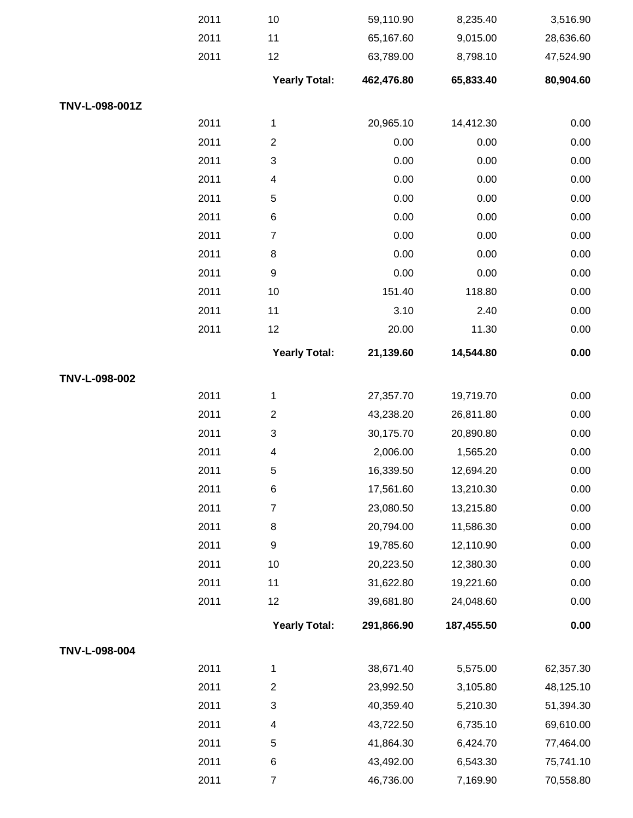|                | 2011 | 10                        | 59,110.90  | 8,235.40   | 3,516.90  |
|----------------|------|---------------------------|------------|------------|-----------|
|                | 2011 | 11                        | 65,167.60  | 9,015.00   | 28,636.60 |
|                | 2011 | 12                        | 63,789.00  | 8,798.10   | 47,524.90 |
|                |      | <b>Yearly Total:</b>      | 462,476.80 | 65,833.40  | 80,904.60 |
| TNV-L-098-001Z |      |                           |            |            |           |
|                | 2011 | $\mathbf{1}$              | 20,965.10  | 14,412.30  | 0.00      |
|                | 2011 | $\boldsymbol{2}$          | 0.00       | 0.00       | 0.00      |
|                | 2011 | 3                         | 0.00       | 0.00       | 0.00      |
|                | 2011 | $\overline{\mathcal{A}}$  | 0.00       | 0.00       | 0.00      |
|                | 2011 | $\sqrt{5}$                | 0.00       | 0.00       | 0.00      |
|                | 2011 | $\,6$                     | 0.00       | 0.00       | 0.00      |
|                | 2011 | $\overline{7}$            | 0.00       | 0.00       | 0.00      |
|                | 2011 | $\,8\,$                   | 0.00       | 0.00       | 0.00      |
|                | 2011 | $\boldsymbol{9}$          | 0.00       | 0.00       | 0.00      |
|                | 2011 | 10                        | 151.40     | 118.80     | 0.00      |
|                | 2011 | 11                        | 3.10       | 2.40       | 0.00      |
|                | 2011 | 12                        | 20.00      | 11.30      | 0.00      |
|                |      | <b>Yearly Total:</b>      | 21,139.60  | 14,544.80  | 0.00      |
| TNV-L-098-002  |      |                           |            |            |           |
|                | 2011 | $\mathbf 1$               | 27,357.70  | 19,719.70  | 0.00      |
|                | 2011 | $\boldsymbol{2}$          | 43,238.20  | 26,811.80  | 0.00      |
|                | 2011 | 3                         | 30,175.70  | 20,890.80  | 0.00      |
|                | 2011 | $\overline{\mathcal{A}}$  | 2,006.00   | 1,565.20   | 0.00      |
|                | 2011 | 5                         | 16,339.50  | 12,694.20  | 0.00      |
|                | 2011 | $\,6$                     | 17,561.60  | 13,210.30  | 0.00      |
|                | 2011 | $\boldsymbol{7}$          | 23,080.50  | 13,215.80  | 0.00      |
|                | 2011 | 8                         | 20,794.00  | 11,586.30  | 0.00      |
|                | 2011 | $\boldsymbol{9}$          | 19,785.60  | 12,110.90  | 0.00      |
|                | 2011 | 10                        | 20,223.50  | 12,380.30  | 0.00      |
|                | 2011 | 11                        | 31,622.80  | 19,221.60  | 0.00      |
|                | 2011 | 12                        | 39,681.80  | 24,048.60  | 0.00      |
|                |      | <b>Yearly Total:</b>      | 291,866.90 | 187,455.50 | 0.00      |
| TNV-L-098-004  |      |                           |            |            |           |
|                | 2011 | $\mathbf{1}$              | 38,671.40  | 5,575.00   | 62,357.30 |
|                | 2011 | $\boldsymbol{2}$          | 23,992.50  | 3,105.80   | 48,125.10 |
|                | 2011 | $\ensuremath{\mathsf{3}}$ | 40,359.40  | 5,210.30   | 51,394.30 |
|                | 2011 | $\overline{\mathcal{A}}$  | 43,722.50  | 6,735.10   | 69,610.00 |
|                | 2011 | $\mathbf 5$               | 41,864.30  | 6,424.70   | 77,464.00 |
|                | 2011 | $\,6$                     | 43,492.00  | 6,543.30   | 75,741.10 |
|                | 2011 | $\boldsymbol{7}$          | 46,736.00  | 7,169.90   | 70,558.80 |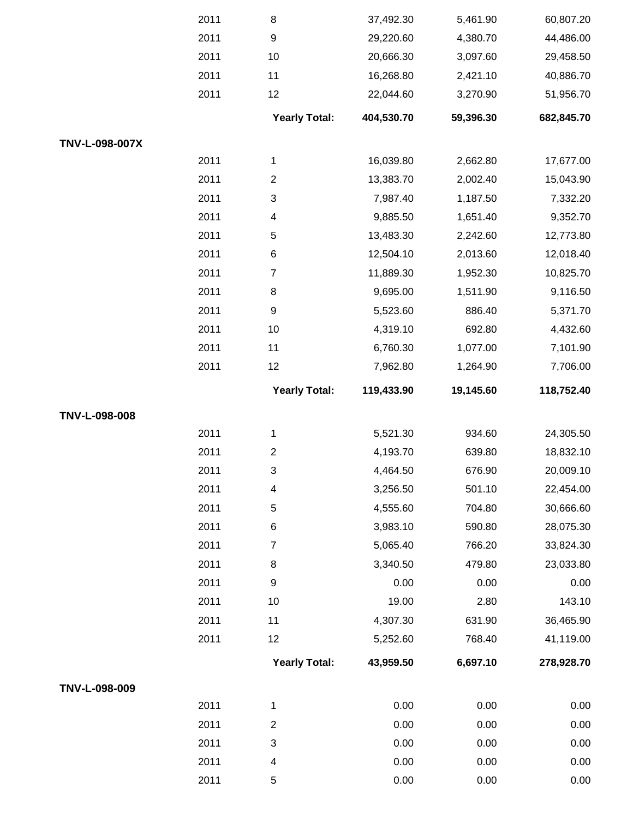|                | 2011 | 8                         | 37,492.30  | 5,461.90  | 60,807.20  |
|----------------|------|---------------------------|------------|-----------|------------|
|                | 2011 | $\boldsymbol{9}$          | 29,220.60  | 4,380.70  | 44,486.00  |
|                | 2011 | 10                        | 20,666.30  | 3,097.60  | 29,458.50  |
|                | 2011 | 11                        | 16,268.80  | 2,421.10  | 40,886.70  |
|                | 2011 | 12                        | 22,044.60  | 3,270.90  | 51,956.70  |
|                |      | <b>Yearly Total:</b>      | 404,530.70 | 59,396.30 | 682,845.70 |
| TNV-L-098-007X |      |                           |            |           |            |
|                | 2011 | $\mathbf{1}$              | 16,039.80  | 2,662.80  | 17,677.00  |
|                | 2011 | $\boldsymbol{2}$          | 13,383.70  | 2,002.40  | 15,043.90  |
|                | 2011 | $\ensuremath{\mathsf{3}}$ | 7,987.40   | 1,187.50  | 7,332.20   |
|                | 2011 | $\overline{\mathcal{A}}$  | 9,885.50   | 1,651.40  | 9,352.70   |
|                | 2011 | $\sqrt{5}$                | 13,483.30  | 2,242.60  | 12,773.80  |
|                | 2011 | $\,6$                     | 12,504.10  | 2,013.60  | 12,018.40  |
|                | 2011 | $\overline{7}$            | 11,889.30  | 1,952.30  | 10,825.70  |
|                | 2011 | $\bf 8$                   | 9,695.00   | 1,511.90  | 9,116.50   |
|                | 2011 | $\boldsymbol{9}$          | 5,523.60   | 886.40    | 5,371.70   |
|                | 2011 | 10                        | 4,319.10   | 692.80    | 4,432.60   |
|                | 2011 | 11                        | 6,760.30   | 1,077.00  | 7,101.90   |
|                | 2011 | 12                        | 7,962.80   | 1,264.90  | 7,706.00   |
|                |      | <b>Yearly Total:</b>      | 119,433.90 | 19,145.60 | 118,752.40 |
| TNV-L-098-008  |      |                           |            |           |            |
|                | 2011 | $\mathbf{1}$              | 5,521.30   | 934.60    | 24,305.50  |
|                | 2011 | $\boldsymbol{2}$          | 4,193.70   | 639.80    | 18,832.10  |
|                | 2011 | 3                         | 4,464.50   | 676.90    | 20,009.10  |
|                | 2011 | $\overline{\mathbf{4}}$   | 3,256.50   | 501.10    | 22,454.00  |
|                | 2011 | 5                         | 4,555.60   | 704.80    | 30,666.60  |
|                | 2011 | $\,6$                     | 3,983.10   | 590.80    | 28,075.30  |
|                | 2011 | $\boldsymbol{7}$          | 5,065.40   | 766.20    | 33,824.30  |
|                | 2011 | $\bf 8$                   | 3,340.50   | 479.80    | 23,033.80  |
|                | 2011 | $\boldsymbol{9}$          | 0.00       | 0.00      | 0.00       |
|                | 2011 | 10                        | 19.00      | 2.80      | 143.10     |
|                | 2011 | 11                        | 4,307.30   | 631.90    | 36,465.90  |
|                | 2011 | 12                        | 5,252.60   | 768.40    | 41,119.00  |
|                |      | <b>Yearly Total:</b>      | 43,959.50  | 6,697.10  | 278,928.70 |
| TNV-L-098-009  |      |                           |            |           |            |
|                | 2011 | $\mathbf{1}$              | 0.00       | 0.00      | 0.00       |
|                | 2011 | $\boldsymbol{2}$          | 0.00       | 0.00      | 0.00       |
|                | 2011 | $\ensuremath{\mathsf{3}}$ | 0.00       | 0.00      | 0.00       |
|                | 2011 | 4                         | 0.00       | 0.00      | 0.00       |
|                | 2011 | $\mathbf 5$               | 0.00       | 0.00      | 0.00       |